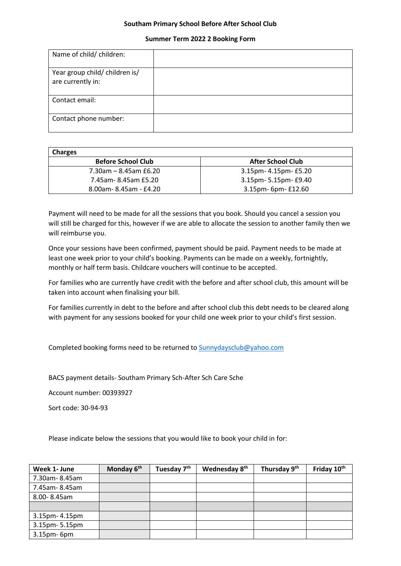## **Southam Primary School Before After School Club**

## **Summer Term 2022 2 Booking Form**

| Name of child/ children:                            |  |
|-----------------------------------------------------|--|
| Year group child/ children is/<br>are currently in: |  |
| Contact email:                                      |  |
| Contact phone number:                               |  |

| <b>Charges</b>            |                          |
|---------------------------|--------------------------|
| <b>Before School Club</b> | <b>After School Club</b> |
| $7.30$ am – 8.45am £6.20  | 3.15pm- 4.15pm- £5.20    |
| 7.45am-8.45am £5.20       | 3.15pm- 5.15pm- £9.40    |
| 8.00am-8.45am - £4.20     | 3.15pm- 6pm- £12.60      |

Payment will need to be made for all the sessions that you book. Should you cancel a session you will still be charged for this, however if we are able to allocate the session to another family then we will reimburse you.

Once your sessions have been confirmed, payment should be paid. Payment needs to be made at least one week prior to your child's booking. Payments can be made on a weekly, fortnightly, monthly or half term basis. Childcare vouchers will continue to be accepted.

For families who are currently have credit with the before and after school club, this amount will be taken into account when finalising your bill.

For families currently in debt to the before and after school club this debt needs to be cleared along with payment for any sessions booked for your child one week prior to your child's first session.

Completed booking forms need to be returned to [Sunnydaysclub@yahoo.com](mailto:Sunnydaysclub@yahoo.com)

BACS payment details- Southam Primary Sch-After Sch Care Sche

Account number: 00393927

Sort code: 30-94-93

Please indicate below the sessions that you would like to book your child in for:

| Week 1- June   | Monday 6 <sup>th</sup> | Tuesday 7 <sup>th</sup> | Wednesday 8 <sup>th</sup> | Thursday 9th | Friday 10 <sup>th</sup> |
|----------------|------------------------|-------------------------|---------------------------|--------------|-------------------------|
| 7.30am-8.45am  |                        |                         |                           |              |                         |
| 7.45am-8.45am  |                        |                         |                           |              |                         |
| 8.00-8.45am    |                        |                         |                           |              |                         |
|                |                        |                         |                           |              |                         |
| 3.15pm- 4.15pm |                        |                         |                           |              |                         |
| 3.15pm-5.15pm  |                        |                         |                           |              |                         |
| 3.15pm-6pm     |                        |                         |                           |              |                         |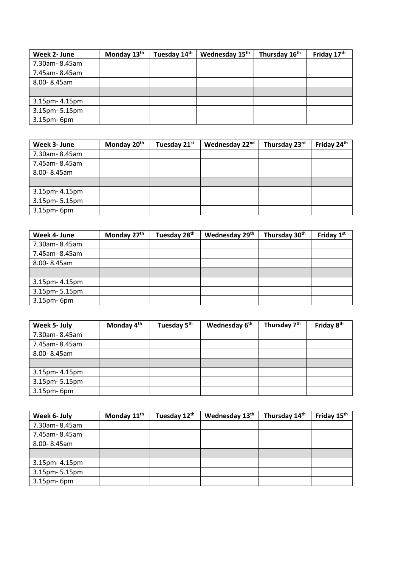| Week 2- June   | Monday 13 <sup>th</sup> | Tuesday 14th | Wednesday 15th | Thursday 16 <sup>th</sup> | Friday 17th |
|----------------|-------------------------|--------------|----------------|---------------------------|-------------|
| 7.30am-8.45am  |                         |              |                |                           |             |
| 7.45am-8.45am  |                         |              |                |                           |             |
| 8.00-8.45am    |                         |              |                |                           |             |
|                |                         |              |                |                           |             |
| 3.15pm- 4.15pm |                         |              |                |                           |             |
| 3.15pm-5.15pm  |                         |              |                |                           |             |
| 3.15pm-6pm     |                         |              |                |                           |             |

| Week 3- June   | Monday 20 <sup>th</sup> | Tuesday 21st | Wednesday 22nd | Thursday 23rd | Friday 24th |
|----------------|-------------------------|--------------|----------------|---------------|-------------|
| 7.30am-8.45am  |                         |              |                |               |             |
| 7.45am-8.45am  |                         |              |                |               |             |
| 8.00-8.45am    |                         |              |                |               |             |
|                |                         |              |                |               |             |
| 3.15pm- 4.15pm |                         |              |                |               |             |
| 3.15pm-5.15pm  |                         |              |                |               |             |
| 3.15pm-6pm     |                         |              |                |               |             |

| Week 4- June   | Monday 27th | Tuesday 28 <sup>th</sup> | Wednesday 29th | Thursday 30 <sup>th</sup> | Friday 1st |
|----------------|-------------|--------------------------|----------------|---------------------------|------------|
| 7.30am-8.45am  |             |                          |                |                           |            |
| 7.45am-8.45am  |             |                          |                |                           |            |
| 8.00-8.45am    |             |                          |                |                           |            |
|                |             |                          |                |                           |            |
| 3.15pm- 4.15pm |             |                          |                |                           |            |
| 3.15pm-5.15pm  |             |                          |                |                           |            |
| 3.15pm-6pm     |             |                          |                |                           |            |

| Week 5- July   | Monday 4 <sup>th</sup> | Tuesday 5 <sup>th</sup> | Wednesday 6 <sup>th</sup> | Thursday 7 <sup>th</sup> | Friday 8 <sup>th</sup> |
|----------------|------------------------|-------------------------|---------------------------|--------------------------|------------------------|
| 7.30am-8.45am  |                        |                         |                           |                          |                        |
| 7.45am-8.45am  |                        |                         |                           |                          |                        |
| 8.00-8.45am    |                        |                         |                           |                          |                        |
|                |                        |                         |                           |                          |                        |
| 3.15pm- 4.15pm |                        |                         |                           |                          |                        |
| 3.15pm-5.15pm  |                        |                         |                           |                          |                        |
| 3.15pm-6pm     |                        |                         |                           |                          |                        |

| Week 6- July   | Monday 11 <sup>th</sup> | Tuesday 12th | Wednesday 13th | Thursday 14th | Friday 15th |
|----------------|-------------------------|--------------|----------------|---------------|-------------|
| 7.30am-8.45am  |                         |              |                |               |             |
| 7.45am-8.45am  |                         |              |                |               |             |
| 8.00-8.45am    |                         |              |                |               |             |
|                |                         |              |                |               |             |
| 3.15pm- 4.15pm |                         |              |                |               |             |
| 3.15pm-5.15pm  |                         |              |                |               |             |
| 3.15pm-6pm     |                         |              |                |               |             |